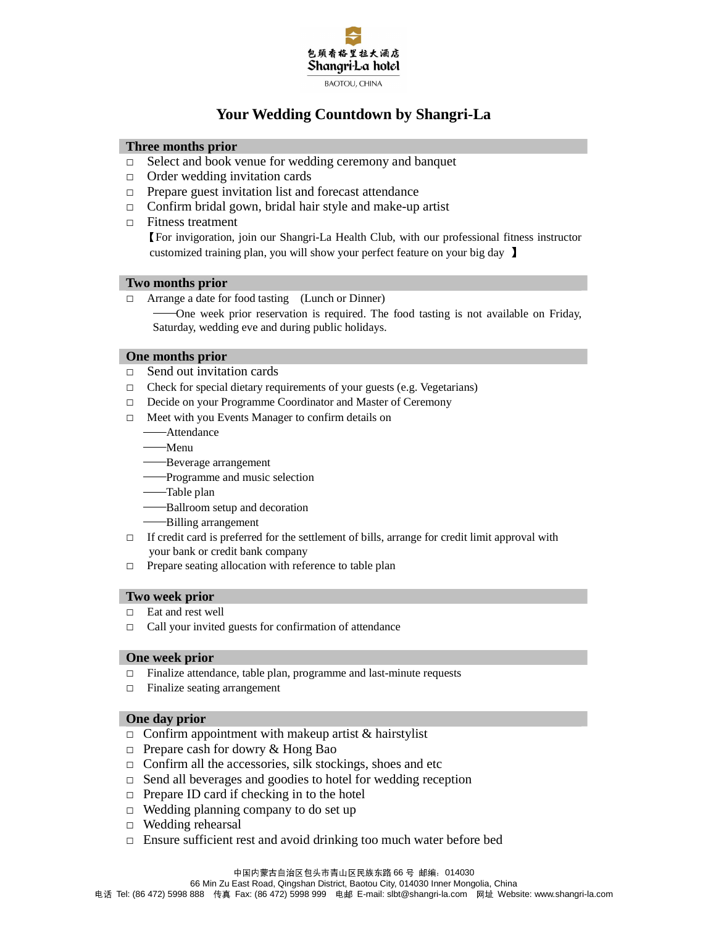

# **Your Wedding Countdown by Shangri-La**

### **Three months prior**

- □ Select and book venue for wedding ceremony and banquet
- □ Order wedding invitation cards
- □ Prepare guest invitation list and forecast attendance
- □ Confirm bridal gown, bridal hair style and make-up artist
- □ Fitness treatment

【For invigoration, join our Shangri-La Health Club, with our professional fitness instructor customized training plan, you will show your perfect feature on your big day 】

### **Two months prior**

□ Arrange a date for food tasting (Lunch or Dinner)

-One week prior reservation is required. The food tasting is not available on Friday, Saturday, wedding eve and during public holidays.

#### **One months prior**

- □ Send out invitation cards
- $\Box$  Check for special dietary requirements of your guests (e.g. Vegetarians)
- □ Decide on your Programme Coordinator and Master of Ceremony
- □ Meet with you Events Manager to confirm details on
	- ——Attendance
	- ——Menu
	- ——Beverage arrangement
	- ——Programme and music selection
	- ——Table plan
	- ——Ballroom setup and decoration
	- ——Billing arrangement
- $\Box$  If credit card is preferred for the settlement of bills, arrange for credit limit approval with your bank or credit bank company
- □ Prepare seating allocation with reference to table plan

#### **Two week prior**

- □ Eat and rest well
- $\Box$  Call your invited guests for confirmation of attendance

#### **One week prior**

- □ Finalize attendance, table plan, programme and last-minute requests
- □ Finalize seating arrangement

#### **One day prior**

- $\Box$  Confirm appointment with makeup artist & hairstylist
- $\Box$  Prepare cash for dowry & Hong Bao
- $\Box$  Confirm all the accessories, silk stockings, shoes and etc
- $\Box$  Send all beverages and goodies to hotel for wedding reception
- $\Box$  Prepare ID card if checking in to the hotel
- $\Box$  Wedding planning company to do set up
- □ Wedding rehearsal
- □ Ensure sufficient rest and avoid drinking too much water before bed